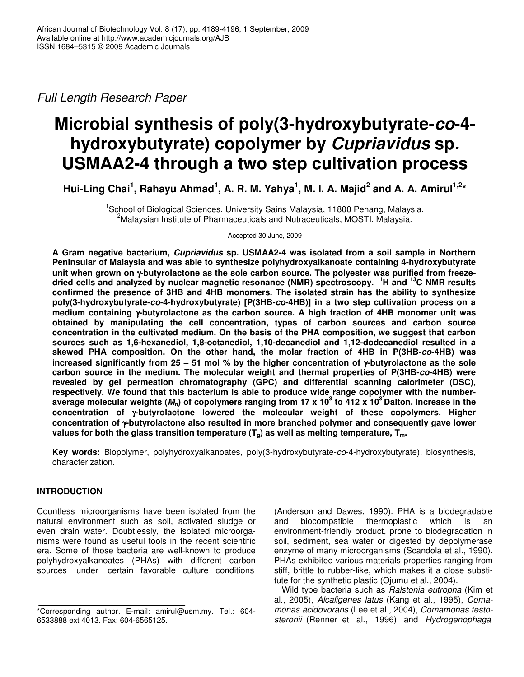*Full Length Research Paper*

# **Microbial synthesis of poly(3-hydroxybutyrate-***co***-4 hydroxybutyrate) copolymer by** *Cupriavidus* **sp***.* **USMAA2-4 through a two step cultivation process**

Hui-Ling Chai<sup>1</sup>, Rahayu Ahmad<sup>1</sup>, A. R. M. Yahya<sup>1</sup>, M. I. A. Majid<sup>2</sup> and A. A. Amirul<sup>1,2</sup>\*

<sup>1</sup>School of Biological Sciences, University Sains Malaysia, 11800 Penang, Malaysia. <sup>2</sup>Malaysian Institute of Pharmaceuticals and Nutraceuticals, MOSTI, Malaysia.

Accepted 30 June, 2009

**A Gram negative bacterium,** *Cupriavidus* **sp. USMAA2-4 was isolated from a soil sample in Northern Peninsular of Malaysia and was able to synthesize polyhydroxyalkanoate containing 4-hydroxybutyrate unit when grown on** γ**-butyrolactone as the sole carbon source. The polyester was purified from freezedried cells and analyzed by nuclear magnetic resonance (NMR) spectroscopy. <sup>1</sup>H and <sup>13</sup>C NMR results confirmed the presence of 3HB and 4HB monomers. The isolated strain has the ability to synthesize poly(3-hydroxybutyrate-***co***-4-hydroxybutyrate) [P(3HB-***co***-4HB)] in a two step cultivation process on a medium containing** γ**-butyrolactone as the carbon source. A high fraction of 4HB monomer unit was obtained by manipulating the cell concentration, types of carbon sources and carbon source concentration in the cultivated medium. On the basis of the PHA composition, we suggest that carbon sources such as 1,6-hexanediol, 1,8-octanediol, 1,10-decanediol and 1,12-dodecanediol resulted in a skewed PHA composition. On the other hand, the molar fraction of 4HB in P(3HB-***co***-4HB) was increased significantly from 25 – 51 mol % by the higher concentration of** γ**-butyrolactone as the sole carbon source in the medium. The molecular weight and thermal properties of P(3HB-***co***-4HB) were revealed by gel permeation chromatography (GPC) and differential scanning calorimeter (DSC), respectively. We found that this bacterium is able to produce wide range copolymer with the number**average molecular weights ( $M_{\textrm{n}}$ ) of copolymers ranging from 17 x 10 $^3$  to 412 x 10 $^3$ Dalton. Increase in the **concentration of** γ**-butyrolactone lowered the molecular weight of these copolymers. Higher concentration of** γ**-butyrolactone also resulted in more branched polymer and consequently gave lower values for both the glass transition temperature (Tg) as well as melting temperature, Tm.**

**Key words:** Biopolymer, polyhydroxyalkanoates, poly(3-hydroxybutyrate-*co*-4-hydroxybutyrate), biosynthesis, characterization.

# **INTRODUCTION**

Countless microorganisms have been isolated from the natural environment such as soil, activated sludge or even drain water. Doubtlessly, the isolated microorganisms were found as useful tools in the recent scientific era. Some of those bacteria are well-known to produce polyhydroxyalkanoates (PHAs) with different carbon sources under certain favorable culture conditions

(Anderson and Dawes, 1990). PHA is a biodegradable and biocompatible thermoplastic which is an environment-friendly product, prone to biodegradation in soil, sediment, sea water or digested by depolymerase enzyme of many microorganisms (Scandola et al., 1990). PHAs exhibited various materials properties ranging from stiff, brittle to rubber-like, which makes it a close substitute for the synthetic plastic (Ojumu et al., 2004).

Wild type bacteria such as *Ralstonia eutropha* (Kim et al., 2005), *Alcaligenes latus* (Kang et al., 1995), *Comamonas acidovorans* (Lee et al., 2004), *Comamonas testosteronii* (Renner et al., 1996) and *Hydrogenophaga*

<sup>\*</sup>Corresponding author. E-mail: amirul@usm.my. Tel.: 604- 6533888 ext 4013. Fax: 604-6565125.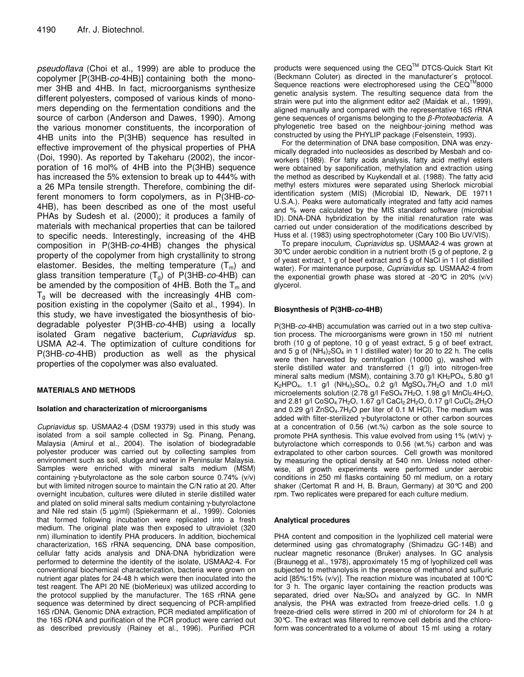*pseudoflava* (Choi et al., 1999) are able to produce the copolymer [P(3HB-*co*-4HB)] containing both the monomer 3HB and 4HB. In fact, microorganisms synthesize different polyesters, composed of various kinds of monomers depending on the fermentation conditions and the source of carbon (Anderson and Dawes, 1990). Among the various monomer constituents, the incorporation of 4HB units into the P(3HB) sequence has resulted in effective improvement of the physical properties of PHA (Doi, 1990). As reported by Takeharu (2002), the incorporation of 16 mol% of 4HB into the P(3HB) sequence has increased the 5% extension to break up to 444% with a 26 MPa tensile strength. Therefore, combining the different monomers to form copolymers, as in P(3HB-*co*-4HB), has been described as one of the most useful PHAs by Sudesh et al. (2000); it produces a family of materials with mechanical properties that can be tailored to specific needs. Interestingly, increasing of the 4HB composition in P(3HB-*co*-4HB) changes the physical property of the copolymer from high crystallinity to strong elastomer. Besides, the melting temperature  $(T_m)$  and glass transition temperature (Tg) of P(3HB-*co*-4HB) can be amended by the composition of 4HB. Both the  $T_m$  and  $T_q$  will be decreased with the increasingly 4HB composition existing in the copolymer (Saito et al., 1994). In this study, we have investigated the biosynthesis of biodegradable polyester P(3HB-*co*-4HB) using a locally isolated Gram negative bacterium, *Cupriavidus* sp. USMA A2-4. The optimization of culture conditions for P(3HB-*co*-4HB) production as well as the physical properties of the copolymer was also evaluated.

#### **MATERIALS AND METHODS**

#### **Isolation and characterization of microorganisms**

*Cupriavidus* sp. USMAA2-4 (DSM 19379) used in this study was isolated from a soil sample collected in Sg. Pinang, Penang, Malaysia (Amirul et al., 2004). The isolation of biodegradable polyester producer was carried out by collecting samples from environment such as soil, sludge and water in Peninsular Malaysia. Samples were enriched with mineral salts medium (MSM) containing γ-butyrolactone as the sole carbon source 0.74% (v/v) but with limited nitrogen source to maintain the C/N ratio at 20. After overnight incubation, cultures were diluted in sterile distilled water and plated on solid mineral salts medium containing γ-butyrolactone and Nile red stain (5 µg/ml) (Spiekermann et al., 1999). Colonies that formed following incubation were replicated into a fresh medium. The original plate was then exposed to ultraviolet (320 nm) illumination to identify PHA producers. In addition, biochemical characterization, 16S rRNA sequencing, DNA base composition, cellular fatty acids analysis and DNA-DNA hybridization were performed to determine the identity of the isolate, USMAA2-4. For conventional biochemical characterization, bacteria were grown on nutrient agar plates for 24-48 h which were then inoculated into the test reagent. The API 20 NE (bioMerieux) was utilized according to the protocol supplied by the manufacturer. The 16S rRNA gene sequence was determined by direct sequencing of PCR-amplified 16S rDNA. Genomic DNA extraction, PCR mediated amplification of the 16S rDNA and purification of the PCR product were carried out as described previously (Rainey et al., 1996). Purified PCR

products were sequenced using the CEQ™ DTCS-Quick Start Kit (Beckmann Coluter) as directed in the manufacturer's protocol. Sequence reactions were electrophoresed using the  $CEQ<sup>TM</sup>8000$ genetic analysis system. The resulting sequence data from the strain were put into the alignment editor ae2 (Maidak et al., 1999), aligned manually and compared with the representative 16S rRNA gene sequences of organisms belonging to the  $\beta$ -Proteobacteria. A phylogenetic tree based on the neighbour-joining method was constructed by using the PHYLIP package (Felsenstein, 1993).

For the determination of DNA base composition, DNA was enzymically degraded into nucleosides as described by Mesbah and coworkers (1989). For fatty acids analysis, fatty acid methyl esters were obtained by saponification, methylation and extraction using the method as described by Kuykendall et al. (1988). The fatty acid methyl esters mixtures were separated using Sherlock microbial identification system (MIS) (Microbial ID, Newark, DE 19711 U.S.A.). Peaks were automatically integrated and fatty acid names and % were calculated by the MIS standard software (microbial ID). DNA-DNA hybridization by the initial renaturation rate was carried out under consideration of the modifications described by Huss et al. (1983) using spectrophotometer (Cary 100 Bio UV/VIS).

To prepare inoculum, *Cupriavidus* sp. USMAA2-4 was grown at 30°C under aerobic condition in a nutrient broth (5 g of peptone, 2 g of yeast extract, 1 g of beef extract and 5 g of NaCl in 1 l of distilled water). For maintenance purpose, *Cupriavidus* sp. USMAA2-4 from the exponential growth phase was stored at -20 $\degree$ C in 20% (v/v) glycerol.

#### **Biosynthesis of P(3HB-***co***-4HB)**

P(3HB-*co*-4HB) accumulation was carried out in a two step cultivation process. The microorganisms were grown in 150 ml nutrient broth (10 g of peptone, 10 g of yeast extract, 5 g of beef extract, and 5 g of  $(NH_4)_2SO_4$  in 1 l distilled water) for 20 to 22 h. The cells were then harvested by centrifugation (10000 g), washed with sterile distilled water and transferred (1 g/l) into nitrogen-free mineral salts medium (MSM), containing 3.70 g/l KH<sub>2</sub>PO<sub>4</sub>, 5.80 g/l K<sub>2</sub>HPO<sub>4</sub>, 1.1 g/l (NH<sub>4</sub>)<sub>2</sub>SO<sub>4</sub>, 0.2 g/l MgSO<sub>4</sub>.7H<sub>2</sub>O and 1.0 ml/l microelements solution (2.78 g/l FeSO<sub>4.</sub>7H<sub>2</sub>O, 1.98 g/l MnCl<sub>2.</sub>4H<sub>2</sub>O, and 2.81 g/l CoSO<sub>4.</sub>7H<sub>2</sub>O, 1.67 g/l CaCl<sub>2.</sub>2H<sub>2</sub>O, 0.17 g/l CuCl<sub>2</sub>.2H<sub>2</sub>O and  $0.29$  g/l  $ZnSO<sub>4</sub>$ .7H<sub>2</sub>O per liter of 0.1 M HCl). The medium was added with filter-sterilized γ-butyrolactone or other carbon sources at a concentration of 0.56 (wt.%) carbon as the sole source to promote PHA synthesis. This value evolved from using 1% (wt/v) γbutyrolactone which corresponds to 0.56 (wt.%) carbon and was extrapolated to other carbon sources. Cell growth was monitored by measuring the optical density at 540 nm. Unless noted otherwise, all growth experiments were performed under aerobic conditions in 250 ml flasks containing 50 ml medium, on a rotary shaker (Certomat R and H, B. Braun, Germany) at 30°C and 200 rpm. Two replicates were prepared for each culture medium.

#### **Analytical procedures**

PHA content and composition in the lyophilized cell material were determined using gas chromatography (Shimadzu GC-14B) and nuclear magnetic resonance (Bruker) analyses. In GC analysis (Braunegg et al., 1978), approximately 15 mg of lyophilized cell was subjected to methanolysis in the presence of methanol and sulfuric acid [85%:15% (v/v)]. The reaction mixture was incubated at 100°C for 3 h. The organic layer containing the reaction products was separated, dried over  $Na<sub>2</sub>SO<sub>4</sub>$  and analyzed by GC. In NMR analysis, the PHA was extracted from freeze-dried cells. 1.0 g freeze-dried cells were stirred in 200 ml of chloroform for 24 h at 30°C. The extract was filtered to remove cell debris and the chloroform was concentrated to a volume of about 15 ml using a rotary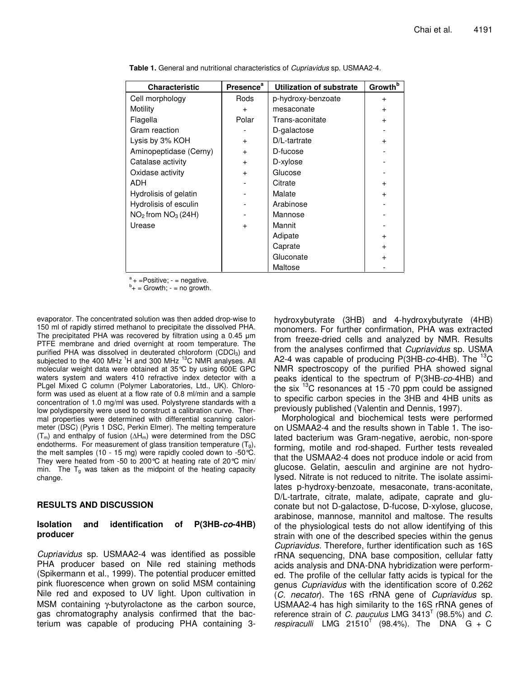| <b>Characteristic</b>  | <b>Presence</b> <sup>a</sup> | Utilization of substrate | Growth <sup>b</sup> |
|------------------------|------------------------------|--------------------------|---------------------|
| Cell morphology        | Rods                         | p-hydroxy-benzoate       | $\ddot{}$           |
| Motility               | $\ddot{}$                    | mesaconate               | $\ddot{}$           |
| Flagella               | Polar                        | Trans-aconitate          | $+$                 |
| Gram reaction          |                              | D-galactose              |                     |
| Lysis by 3% KOH        | $^{+}$                       | D/L-tartrate             | $\ddot{}$           |
| Aminopeptidase (Cerny) | $\ddot{}$                    | D-fucose                 |                     |
| Catalase activity      | $\ddot{}$                    | D-xylose                 |                     |
| Oxidase activity       | $+$                          | Glucose                  |                     |
| ADH                    |                              | Citrate                  | $\ddot{}$           |
| Hydrolisis of gelatin  |                              | Malate                   | $\ddot{}$           |
| Hydrolisis of esculin  |                              | Arabinose                |                     |
| $NO2$ from $NO3$ (24H) |                              | Mannose                  |                     |
| Urease                 | $\ddot{}$                    | Mannit                   |                     |
|                        |                              | Adipate                  | $\ddot{}$           |
|                        |                              | Caprate                  | $+$                 |
|                        |                              | Gluconate                | $\ddot{}$           |
|                        |                              | Maltose                  |                     |

**Table 1.** General and nutritional characteristics of *Cupriavidus* sp. USMAA2-4.

a  $+$  =Positive;  $-$  = negative.

 $b_+$  = Growth; - = no growth.

evaporator. The concentrated solution was then added drop-wise to 150 ml of rapidly stirred methanol to precipitate the dissolved PHA. The precipitated PHA was recovered by filtration using a  $0.45 \mu m$ PTFE membrane and dried overnight at room temperature. The purified PHA was dissolved in deuterated chloroform (CDCl<sub>3</sub>) and subjected to the 400 MHz <sup>1</sup>H and 300 MHz <sup>13</sup>C NMR analyses. All molecular weight data were obtained at 35°C by using 600E GPC waters system and waters 410 refractive index detector with a PLgel Mixed C column (Polymer Laboratories, Ltd., UK). Chloroform was used as eluent at a flow rate of 0.8 ml/min and a sample concentration of 1.0 mg/ml was used. Polystyrene standards with a low polydispersity were used to construct a calibration curve. Thermal properties were determined with differential scanning calorimeter (DSC) (Pyris 1 DSC, Perkin Elmer). The melting temperature  $(T_m)$  and enthalpy of fusion  $(\Delta H_m)$  were determined from the DSC endotherms. For measurement of glass transition temperature  $(T<sub>g</sub>)$ , the melt samples (10 - 15 mg) were rapidly cooled down to -50 °C. They were heated from -50 to 200°C at heating rate of 20°C min/ min. The  $T_q$  was taken as the midpoint of the heating capacity change.

# **RESULTS AND DISCUSSION**

#### **Isolation and identification of P(3HB-***co***-4HB) producer**

*Cupriavidus* sp. USMAA2-4 was identified as possible PHA producer based on Nile red staining methods (Spikermann et al., 1999). The potential producer emitted pink fluorescence when grown on solid MSM containing Nile red and exposed to UV light. Upon cultivation in MSM containing γ-butyrolactone as the carbon source, gas chromatography analysis confirmed that the bacterium was capable of producing PHA containing 3-

hydroxybutyrate (3HB) and 4-hydroxybutyrate (4HB) monomers. For further confirmation, PHA was extracted from freeze-dried cells and analyzed by NMR. Results from the analyses confirmed that *Cupriavidus* sp. USMA A2-4 was capable of producing P(3HB-*co*-4HB). The <sup>13</sup>C NMR spectroscopy of the purified PHA showed signal peaks identical to the spectrum of P(3HB-*co*-4HB) and the six <sup>13</sup>C resonances at 15 -70 ppm could be assigned to specific carbon species in the 3HB and 4HB units as previously published (Valentin and Dennis, 1997).

Morphological and biochemical tests were performed on USMAA2-4 and the results shown in Table 1. The isolated bacterium was Gram-negative, aerobic, non-spore forming, motile and rod-shaped. Further tests revealed that the USMAA2-4 does not produce indole or acid from glucose. Gelatin, aesculin and arginine are not hydrolysed. Nitrate is not reduced to nitrite. The isolate assimilates p-hydroxy-benzoate, mesaconate, trans-aconitate, D/L-tartrate, citrate, malate, adipate, caprate and gluconate but not D-galactose, D-fucose, D-xylose, glucose, arabinose, mannose, mannitol and maltose. The results of the physiological tests do not allow identifying of this strain with one of the described species within the genus *Cupriavidus.* Therefore, further identification such as 16S rRNA sequencing, DNA base composition, cellular fatty acids analysis and DNA-DNA hybridization were performed. The profile of the cellular fatty acids is typical for the genus *Cupriavidus* with the identification score of 0.262 (*C. necator*). The 16S rRNA gene of *Cupriavidus* sp. USMAA2-4 has high similarity to the 16S rRNA genes of reference strain of *C. pauculus* LMG 3413 T (98.5%) and *C.*  $r$ espiraculli LMG  $21510^T$  (98.4%). The DNA G + C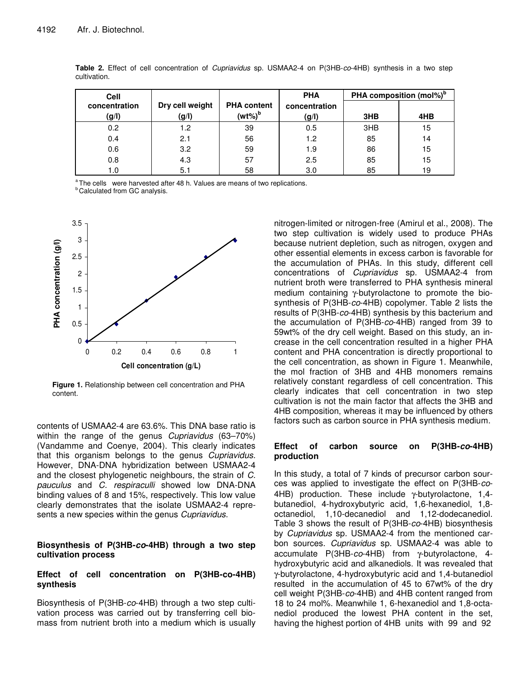| <b>Cell</b>            |                          |                                        | <b>PHA</b>             | PHA composition (mol%) <sup>b</sup> |     |
|------------------------|--------------------------|----------------------------------------|------------------------|-------------------------------------|-----|
| concentration<br>(g/I) | Dry cell weight<br>(g/l) | <b>PHA content</b><br>(wt%) $^{\rm b}$ | concentration<br>(g/I) | 3HB                                 | 4HB |
|                        |                          |                                        |                        |                                     |     |
| 0.2                    | 1.2                      | 39                                     | 0.5                    | 3HB                                 | 15  |
| 0.4                    | 2.1                      | 56                                     | 1.2                    | 85                                  | 14  |
| 0.6                    | 3.2                      | 59                                     | 1.9                    | 86                                  | 15  |
| 0.8                    | 4.3                      | 57                                     | 2.5                    | 85                                  | 15  |
| 1.0                    | 5.1                      | 58                                     | 3.0                    | 85                                  | 19  |

**Table 2.** Effect of cell concentration of *Cupriavidus* sp. USMAA2-4 on P(3HB-*co*-4HB) synthesis in a two step cultivation.

<sup>a</sup> The cells were harvested after 48 h. Values are means of two replications.

**b** Calculated from GC analysis.



**Figure 1.** Relationship between cell concentration and PHA content.

contents of USMAA2-4 are 63.6%. This DNA base ratio is within the range of the genus *Cupriavidus* (63–70%) (Vandamme and Coenye, 2004). This clearly indicates that this organism belongs to the genus *Cupriavidus.* However, DNA-DNA hybridization between USMAA2-4 and the closest phylogenetic neighbours, the strain of *C. pauculus* and *C. respiraculli* showed low DNA-DNA binding values of 8 and 15%, respectively. This low value clearly demonstrates that the isolate USMAA2-4 represents a new species within the genus *Cupriavidus*.

#### **Biosynthesis of P(3HB-***co***-4HB) through a two step cultivation process**

#### **Effect of cell concentration on P(3HB-co-4HB) synthesis**

Biosynthesis of P(3HB-*co*-4HB) through a two step cultivation process was carried out by transferring cell biomass from nutrient broth into a medium which is usually nitrogen-limited or nitrogen-free (Amirul et al., 2008). The two step cultivation is widely used to produce PHAs because nutrient depletion, such as nitrogen, oxygen and other essential elements in excess carbon is favorable for the accumulation of PHAs. In this study, different cell concentrations of *Cupriavidus* sp. USMAA2-4 from nutrient broth were transferred to PHA synthesis mineral medium containing γ-butyrolactone to promote the biosynthesis of P(3HB-*co*-4HB) copolymer. Table 2 lists the results of P(3HB-*co*-4HB) synthesis by this bacterium and the accumulation of P(3HB-*co*-4HB) ranged from 39 to 59wt% of the dry cell weight. Based on this study, an increase in the cell concentration resulted in a higher PHA content and PHA concentration is directly proportional to the cell concentration, as shown in Figure 1. Meanwhile, the mol fraction of 3HB and 4HB monomers remains relatively constant regardless of cell concentration. This clearly indicates that cell concentration in two step cultivation is not the main factor that affects the 3HB and 4HB composition, whereas it may be influenced by others factors such as carbon source in PHA synthesis medium.

# **Effect of carbon source on P(3HB-***co***-4HB) production**

In this study, a total of 7 kinds of precursor carbon sources was applied to investigate the effect on P(3HB-*co*-4HB) production. These include γ-butyrolactone, 1,4 butanediol, 4-hydroxybutyric acid, 1,6-hexanediol, 1,8 octanediol, 1,10-decanediol and 1,12-dodecanediol. Table 3 shows the result of P(3HB-*co*-4HB) biosynthesis by *Cupriavidus* sp*.* USMAA2-4 from the mentioned carbon sources. *Cupriavidus* sp. USMAA2-4 was able to accumulate P(3HB-*co*-4HB) from γ-butyrolactone, 4 hydroxybutyric acid and alkanediols. It was revealed that γ-butyrolactone, 4-hydroxybutyric acid and 1,4-butanediol resulted in the accumulation of 45 to 67wt% of the dry cell weight P(3HB-*co*-4HB) and 4HB content ranged from 18 to 24 mol%. Meanwhile 1, 6-hexanediol and 1,8-octanediol produced the lowest PHA content in the set, having the highest portion of 4HB units with 99 and 92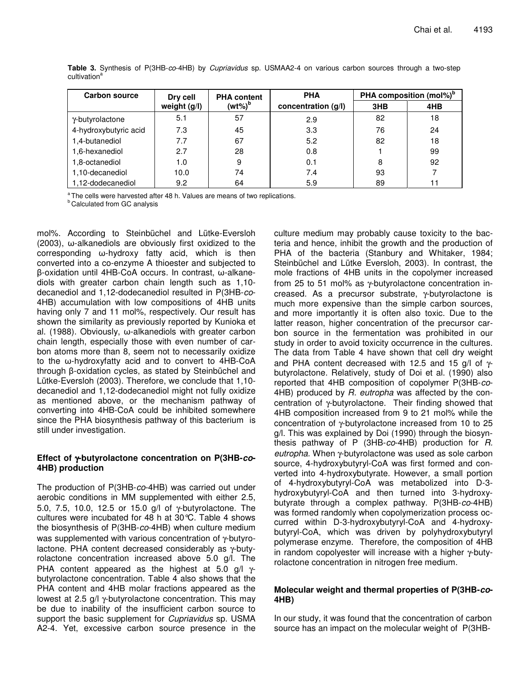| Carbon source         | Dry cell     | <b>PHA content</b> | <b>PHA</b>          | PHA composition (mol%) <sup>b</sup> |     |
|-----------------------|--------------|--------------------|---------------------|-------------------------------------|-----|
|                       | weight (g/l) | $(wt\%)^b$         | concentration (g/l) | 3HB                                 | 4HB |
| y-butyrolactone       | 5.1          | 57                 | 2.9                 | 82                                  | 18  |
| 4-hydroxybutyric acid | 7.3          | 45                 | 3.3                 | 76                                  | 24  |
| 1,4-butanediol        | 7.7          | 67                 | 5.2                 | 82                                  | 18  |
| 1,6-hexanediol        | 2.7          | 28                 | 0.8                 |                                     | 99  |
| 1,8-octanediol        | 1.0          | 9                  | 0.1                 | 8                                   | 92  |
| 1,10-decanediol       | 10.0         | 74                 | 7.4                 | 93                                  |     |
| 1,12-dodecanediol     | 9.2          | 64                 | 5.9                 | 89                                  |     |

**Table 3.** Synthesis of P(3HB-*co*-4HB) by *Cupriavidus* sp. USMAA2-4 on various carbon sources through a two-step cultivation<sup>a</sup>

<sup>a</sup> The cells were harvested after 48 h. Values are means of two replications.

**b** Calculated from GC analysis

mol%. According to Steinbüchel and Lütke-Eversloh  $(2003)$ ,  $\omega$ -alkanediols are obviously first oxidized to the  $corresponding$   $\omega$ -hydroxy fatty acid, which is then converted into a co-enzyme A thioester and subjected to  $\beta$ -oxidation until 4HB-CoA occurs. In contrast,  $\omega$ -alkanediols with greater carbon chain length such as 1,10 decanediol and 1,12-dodecanediol resulted in P(3HB-*co*-4HB) accumulation with low compositions of 4HB units having only 7 and 11 mol%, respectively. Our result has shown the similarity as previously reported by Kunioka et al. (1988). Obviously,  $\omega$ -alkanediols with greater carbon chain length, especially those with even number of carbon atoms more than 8, seem not to necessarily oxidize to the  $\omega$ -hydroxyfatty acid and to convert to 4HB-CoA through  $\beta$ -oxidation cycles, as stated by Steinbüchel and Lütke-Eversloh (2003). Therefore, we conclude that 1,10 decanediol and 1,12-dodecanediol might not fully oxidize as mentioned above, or the mechanism pathway of converting into 4HB-CoA could be inhibited somewhere since the PHA biosynthesis pathway of this bacterium is still under investigation.

# **Effect of** γ**-butyrolactone concentration on P(3HB-***co***-4HB) production**

The production of P(3HB-*co*-4HB) was carried out under aerobic conditions in MM supplemented with either 2.5, 5.0, 7.5, 10.0, 12.5 or 15.0 g/l of γ-butyrolactone. The cultures were incubated for 48 h at 30°C. Table 4 shows the biosynthesis of P(3HB-*co*-4HB) when culture medium was supplemented with various concentration of γ-butyrolactone. PHA content decreased considerably as γ-butyrolactone concentration increased above 5.0 g/l. The PHA content appeared as the highest at 5.0 g/l  $\gamma$ butyrolactone concentration. Table 4 also shows that the PHA content and 4HB molar fractions appeared as the lowest at 2.5 g/l γ-butyrolactone concentration. This may be due to inability of the insufficient carbon source to support the basic supplement for *Cupriavidus* sp. USMA A2-4*.* Yet, excessive carbon source presence in the culture medium may probably cause toxicity to the bacteria and hence, inhibit the growth and the production of PHA of the bacteria (Stanbury and Whitaker, 1984; Steinbüchel and Lütke Eversloh, 2003). In contrast, the mole fractions of 4HB units in the copolymer increased from 25 to 51 mol% as γ-butyrolactone concentration increased. As a precursor substrate, γ-butyrolactone is much more expensive than the simple carbon sources, and more importantly it is often also toxic. Due to the latter reason, higher concentration of the precursor carbon source in the fermentation was prohibited in our study in order to avoid toxicity occurrence in the cultures. The data from Table 4 have shown that cell dry weight and PHA content decreased with 12.5 and 15 g/l of  $γ$ butyrolactone. Relatively, study of Doi et al. (1990) also reported that 4HB composition of copolymer P(3HB-*co*-4HB) produced by *R. eutropha* was affected by the concentration of γ-butyrolactone. Their finding showed that 4HB composition increased from 9 to 21 mol% while the concentration of γ-butyrolactone increased from 10 to 25 g/l. This was explained by Doi (1990) through the biosynthesis pathway of P (3HB-*co*-4HB) production for *R. eutropha.* When γ-butyrolactone was used as sole carbon source, 4-hydroxybutyryl-CoA was first formed and converted into 4-hydroxybutyrate. However, a small portion of 4-hydroxybutyryl-CoA was metabolized into D-3 hydroxybutyryl-CoA and then turned into 3-hydroxybutyrate through a complex pathway. P(3HB-*co*-4HB) was formed randomly when copolymerization process occurred within D-3-hydroxybutyryl-CoA and 4-hydroxybutyryl-CoA, which was driven by polyhydroxybutyryl polymerase enzyme. Therefore, the composition of 4HB in random copolyester will increase with a higher γ-butyrolactone concentration in nitrogen free medium.

# **Molecular weight and thermal properties of P(3HB-***co***-4HB)**

In our study, it was found that the concentration of carbon source has an impact on the molecular weight of P(3HB-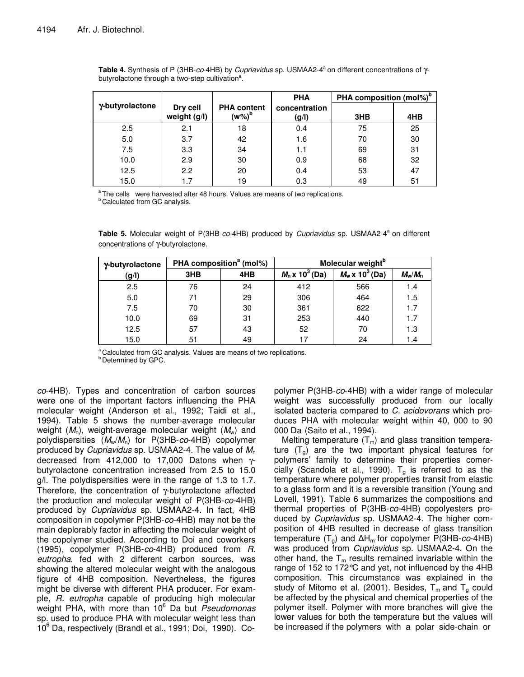|                 |                          |                                 | <b>PHA</b>             | PHA composition (mol%) <sup>b</sup> |     |
|-----------------|--------------------------|---------------------------------|------------------------|-------------------------------------|-----|
| y-butyrolactone | Dry cell<br>weight (g/l) | <b>PHA content</b><br>$(w\%)^b$ | concentration<br>(g/l) | 3HB                                 | 4HB |
| 2.5             | 2.1                      | 18                              | 0.4                    | 75                                  | 25  |
| 5.0             | 3.7                      | 42                              | 1.6                    | 70                                  | 30  |
| 7.5             | 3.3                      | 34                              | 1.1                    | 69                                  | 31  |
| 10.0            | 2.9                      | 30                              | 0.9                    | 68                                  | 32  |
| 12.5            | 2.2                      | 20                              | 0.4                    | 53                                  | 47  |
| 15.0            | 1.7                      | 19                              | 0.3                    | 49                                  | 51  |

**Table 4.** Synthesis of P (3HB-*co*-4HB) by *Cupriavidus* sp. USMAA2-4 a on different concentrations of γbutyrolactone through a two-step cultivation<sup>a</sup>.

<sup>a</sup> The cells were harvested after 48 hours. Values are means of two replications. **b** Calculated from GC analysis.

**Table 5.** Molecular weight of P(3HB-*co*-4HB) produced by *Cupriavidus* sp. USMAA2-4 a on different concentrations of γ-butyrolactone.

| y-butyrolactone | PHA composition <sup>a</sup> (mol%) |     |                        | Molecular weight <sup>b</sup> |           |  |
|-----------------|-------------------------------------|-----|------------------------|-------------------------------|-----------|--|
| (g/I)           | 3HB                                 | 4HB | $M_n \times 10^3$ (Da) | $M_w \times 10^3$ (Da)        | $M_w/M_n$ |  |
| 2.5             | 76                                  | 24  | 412                    | 566                           | 1.4       |  |
| 5.0             | 71                                  | 29  | 306                    | 464                           | 1.5       |  |
| 7.5             | 70                                  | 30  | 361                    | 622                           | 1.7       |  |
| 10.0            | 69                                  | 31  | 253                    | 440                           | 1.7       |  |
| 12.5            | 57                                  | 43  | 52                     | 70                            | 1.3       |  |
| 15.0            | 51                                  | 49  | 17                     | 24                            | 1.4       |  |

a Calculated from GC analysis. Values are means of two replications. **b** Determined by GPC.

*co*-4HB). Types and concentration of carbon sources were one of the important factors influencing the PHA molecular weight (Anderson et al., 1992; Taidi et al., 1994). Table 5 shows the number-average molecular weight (M<sub>n</sub>), weight-average molecular weight (M<sub>w</sub>) and polydispersities (*M*w/*M*n) for P(3HB-*co*-4HB) copolymer produced by *Cupriavidus* sp. USMAA2-4. The value of *M*<sup>n</sup> decreased from 412,000 to 17,000 Datons when γbutyrolactone concentration increased from 2.5 to 15.0 g/l. The polydispersities were in the range of 1.3 to 1.7. Therefore, the concentration of γ-butyrolactone affected the production and molecular weight of P(3HB-*co*-4HB) produced by *Cupriavidus* sp. USMAA2-4. In fact, 4HB composition in copolymer P(3HB-*co*-4HB) may not be the main deplorably factor in affecting the molecular weight of the copolymer studied. According to Doi and coworkers (1995), copolymer P(3HB-*co*-4HB) produced from *R. eutropha*, fed with 2 different carbon sources, was showing the altered molecular weight with the analogous figure of 4HB composition. Nevertheless, the figures might be diverse with different PHA producer. For example, *R. eutropha* capable of producing high molecular weight PHA, with more than 10 <sup>6</sup> Da but *Pseudomonas* sp. used to produce PHA with molecular weight less than 10 <sup>6</sup> Da, respectively (Brandl et al., 1991; Doi, 1990). Co-

polymer P(3HB-*co*-4HB) with a wider range of molecular weight was successfully produced from our locally isolated bacteria compared to *C. acidovorans* which produces PHA with molecular weight within 40, 000 to 90 000 Da (Saito et al., 1994).

Melting temperature  $(T_m)$  and glass transition temperature  $(T<sub>g</sub>)$  are the two important physical features for polymers' family to determine their properties comercially (Scandola et al., 1990).  $T<sub>g</sub>$  is referred to as the temperature where polymer properties transit from elastic to a glass form and it is a reversible transition (Young and Lovell, 1991). Table 6 summarizes the compositions and thermal properties of P(3HB-*co*-4HB) copolyesters produced by *Cupriavidus* sp. USMAA2-4. The higher composition of 4HB resulted in decrease of glass transition temperature  $(T_q)$  and  $\Delta H_m$  for copolymer P(3HB-*co*-4HB) was produced from *Cupriavidus* sp. USMAA2-4. On the other hand, the  $T_m$  results remained invariable within the range of 152 to 172°C and yet, not influenced by the 4HB composition. This circumstance was explained in the study of Mitomo et al. (2001). Besides,  $T_m$  and  $T_g$  could be affected by the physical and chemical properties of the polymer itself. Polymer with more branches will give the lower values for both the temperature but the values will be increased if the polymers with a polar side-chain or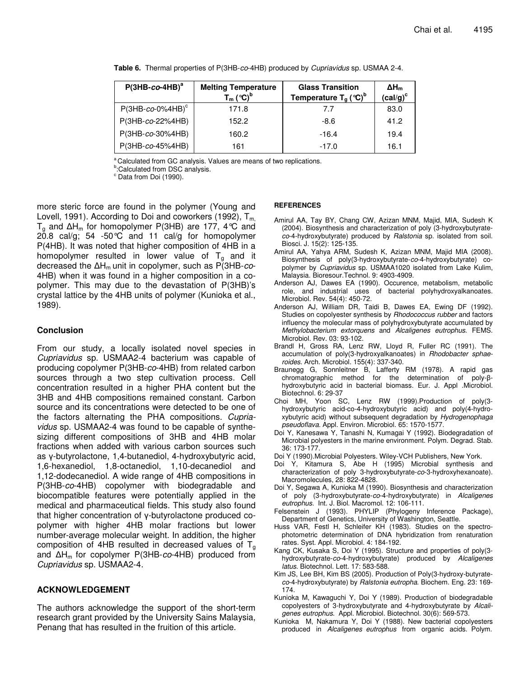| $P(3HB-co-4HB)^a$    | <b>Melting Temperature</b><br>$T_m$ (°C) <sup>b</sup> | <b>Glass Transition</b><br>Temperature $T_a$ (°C) <sup>b</sup> | $\Delta H_m$<br>$(cal/g)^c$ |
|----------------------|-------------------------------------------------------|----------------------------------------------------------------|-----------------------------|
| $P(3HB-co-0\%4HB)^c$ | 171.8                                                 | 7.7                                                            | 83.0                        |
| P(3HB-co-22%4HB)     | 152.2                                                 | $-8.6$                                                         | 41.2                        |
| P(3HB-co-30%4HB)     | 160.2                                                 | $-16.4$                                                        | 19.4                        |
| P(3HB-co-45%4HB)     | 161                                                   | $-17.0$                                                        | 16.1                        |

**Table 6.** Thermal properties of P(3HB-*co*-4HB) produced by *Cupriavidus* sp. USMAA 2-4.

Calculated from GC analysis. Values are means of two replications.

**b**:Calculated from DSC analysis.

 $\degree$  Data from Doi (1990).

more steric force are found in the polymer (Young and Lovell, 1991). According to Doi and coworkers (1992),  $T_m$  $T_q$  and  $\Delta H_m$  for homopolymer P(3HB) are 177, 4 °C and 20.8 cal/g; 54 -50 $\degree$ C and 11 cal/g for homopolymer P(4HB). It was noted that higher composition of 4HB in a homopolymer resulted in lower value of  $T_g$  and it decreased the H<sup>m</sup> unit in copolymer, such as P(3HB-*co*-4HB) when it was found in a higher composition in a copolymer. This may due to the devastation of P(3HB)'s crystal lattice by the 4HB units of polymer (Kunioka et al., 1989).

# **Conclusion**

From our study, a locally isolated novel species in *Cupriavidus* sp. USMAA2-4 bacterium was capable of producing copolymer P(3HB-*co*-4HB) from related carbon sources through a two step cultivation process. Cell concentration resulted in a higher PHA content but the 3HB and 4HB compositions remained constant. Carbon source and its concentrations were detected to be one of the factors alternating the PHA compositions. *Cupriavidus* sp. USMAA2-4 was found to be capable of synthesizing different compositions of 3HB and 4HB molar fractions when added with various carbon sources such as  $y$ -butyrolactone, 1,4-butanediol, 4-hydroxybutyric acid, 1,6-hexanediol, 1,8-octanediol, 1,10-decanediol and 1,12-dodecanediol. A wide range of 4HB compositions in P(3HB-*co*-4HB) copolymer with biodegradable and biocompatible features were potentially applied in the medical and pharmaceutical fields. This study also found that higher concentration of  $\gamma$ -butyrolactone produced copolymer with higher 4HB molar fractions but lower number-average molecular weight. In addition, the higher composition of 4HB resulted in decreased values of  $T<sub>q</sub>$ and  $\Delta H_m$  for copolymer P(3HB-*co*-4HB) produced from *Cupriavidus* sp. USMAA2-4.

# **ACKNOWLEDGEMENT**

The authors acknowledge the support of the short-term research grant provided by the University Sains Malaysia, Penang that has resulted in the fruition of this article.

#### **REFERENCES**

- Amirul AA, Tay BY, Chang CW, Azizan MNM, Majid, MIA, Sudesh K (2004). Biosynthesis and characterization of poly (3-hydroxybutyrate*co*-4-hydroxybutyrate) produced by *Ralstonia* sp. isolated from soil. Biosci. J. 15(2): 125-135.
- Amirul AA, Yahya ARM, Sudesh K, Azizan MNM, Majid MIA (2008). Biosynthesis of poly(3-hydroxybutyrate-*co*-4-hydroxybutyrate) copolymer by *Cupriavidus* sp. USMAA1020 isolated from Lake Kulim, Malaysia. Bioresour.Technol. 9: 4903-4909.
- Anderson AJ, Dawes EA (1990). Occurence, metabolism, metabolic role, and industrial uses of bacterial polyhydroxyalkanoates. Microbiol. Rev. 54(4): 450-72.
- Anderson AJ, William DR, Taidi B, Dawes EA, Ewing DF (1992). Studies on copolyester synthesis by *Rhodococcus rubber* and factors influency the molecular mass of polyhydroxybutyrate accumulated by *Methylobacterium extorquens* and *Alcaligenes eutrophus*. FEMS. Microbiol. Rev. 03: 93-102.
- Brandl H, Gross RA, Lenz RW, Lloyd R, Fuller RC (1991). The accumulation of poly(3-hydroxyalkanoates) in *Rhodobacter sphaeroides*. Arch. Microbiol. 155(4): 337-340.
- Braunegg G, Sonnleitner B, Lafferty RM (1978). A rapid gas  $chromatographic$  method for the determination of poly- $\beta$ hydroxybutyric acid in bacterial biomass. Eur. J. Appl .Microbiol. Biotechnol. 6: 29-37
- Choi MH, Yoon SC, Lenz RW (1999).Production of poly(3 hydroxybutyric acid-co-4-hydroxybutyric acid) and poly(4-hydroxybutyric acid) without subsequent degradation by *Hydrogenophaga pseudoflava.* Appl. Environ. Microbiol. 65: 1570-1577.
- Doi Y, Kanesawa Y, Tanashi N, Kumagai Y (1992). Biodegradation of Microbial polyesters in the marine environment. Polym. Degrad. Stab. 36: 173-177.
- Doi Y (1990).Microbial Polyesters. Wiley-VCH Publishers, New York.
- Doi Y, Kitamura S, Abe H (1995) Microbial synthesis and characterization of poly 3-hydroxybutyrate-*co*-3-hydroxyhexanoate). Macromolecules, 28: 822-4828.
- Doi Y, Segawa A, Kunioka M (1990). Biosynthesis and characterization of poly (3-hydroxybutyrate-*co*-4-hydroxybutyrate) in *Alcaligenes eutrophus*. Int. J. Biol. Macromol. 12: 106-111.
- Felsenstein J (1993). PHYLIP (Phylogeny Inference Package), Department of Genetics, University of Washington, Seattle.
- Huss VAR, Festl H, Schleifer KH (1983). Studies on the spectrophotometric determination of DNA hybridization from renaturation rates. Syst. Appl. Microbiol. 4: 184-192.
- Kang CK, Kusaka S, Doi Y (1995). Structure and properties of poly(3 hydroxybutyrate-*co*-4-hydroxybutyrate) produced by *Alcaligenes latus*. Biotechnol. Lett. 17: 583-588.
- Kim JS, Lee BH, Kim BS (2005). Production of Poly(3-hydroxy-butyrate*co*-4-hydroxybutyrate) by *Ralstonia eutropha*. Biochem. Eng. 23: 169- 174.
- Kunioka M, Kawaguchi Y, Doi Y (1989). Production of biodegradable copolyesters of 3-hydroxybutyrate and 4-hydroxybutyrate by *Alcaligenes eutrophus*. Appl. Microbiol. Biotechnol. 30(6): 569-573.
- Kunioka M, Nakamura Y, Doi Y (1988). New bacterial copolyesters produced in *Alcaligenes eutrophus* from organic acids. Polym.